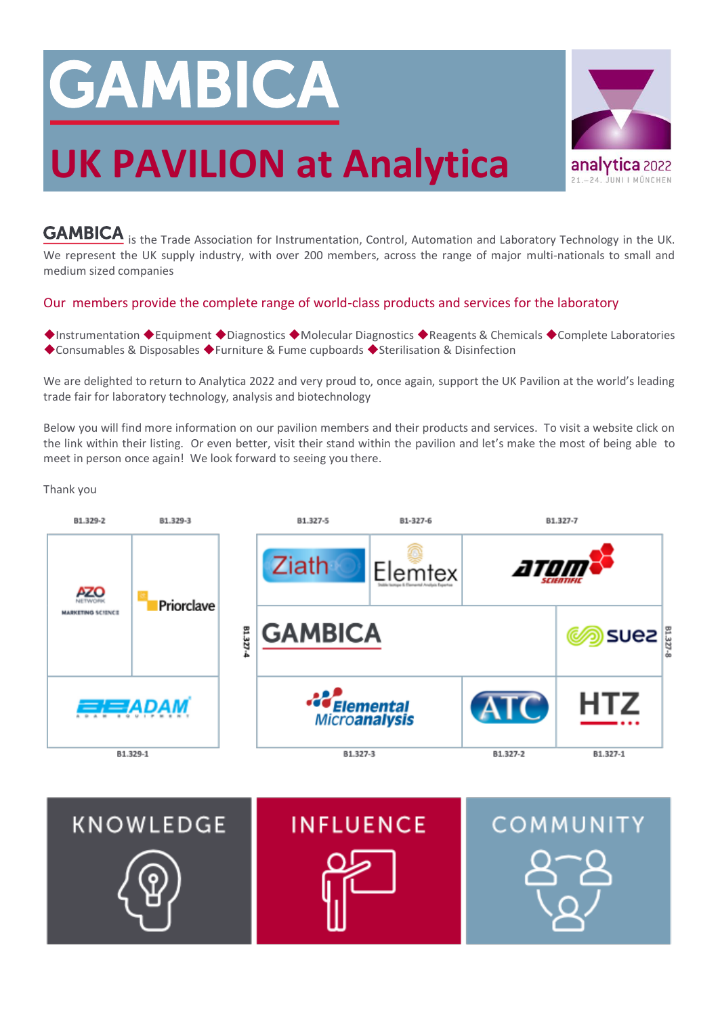# GAMBICA

## **UK PAVILION at Analytica**

**GAMBICA** is the Trade Association for Instrumentation, Control, Automation and Laboratory Technology in the UK.

We represent the UK supply industry, with over 200 members, across the range of major multi-nationals to small and medium sized companies

## Our members provide the complete range of world-class products and services for the laboratory

◆Instrumentation ◆Equipment ◆Diagnostics ◆Molecular Diagnostics ◆Reagents & Chemicals ◆Complete Laboratories ◆Consumables & Disposables ◆Furniture & Fume cupboards ◆Sterilisation & Disinfection

We are delighted to return to Analytica 2022 and very proud to, once again, support the UK Pavilion at the world's leading trade fair for laboratory technology, analysis and biotechnology

Below you will find more information on our pavilion members and their products and services. To visit a website click on the link within their listing. Or even better, visit their stand within the pavilion and let's make the most of being able to meet in person once again! We look forward to seeing you there.

Thank you





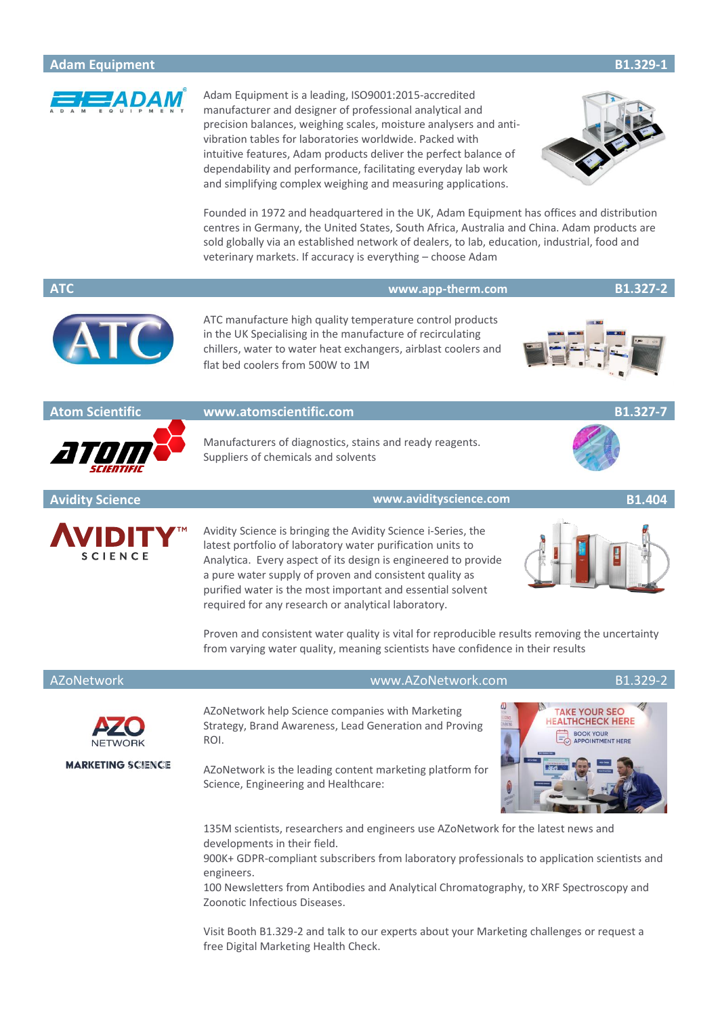

Adam Equipment is a leading, ISO9001:2015-accredited manufacturer and designer of professional analytical and precision balances, weighing scales, moisture analysers and antivibration tables for laboratories worldwide. Packed with intuitive features, Adam products deliver the perfect balance of dependability and performance, facilitating everyday lab work and simplifying complex weighing and measuring applications.



Founded in 1972 and headquartered in the UK, Adam Equipment has offices and distribution centres in Germany, the United States, South Africa, Australia and China. Adam products are sold globally via an established network of dealers, to lab, education, industrial, food and veterinary markets. If accuracy is everything – choose Adam

## **ATC [www.app-therm.com](https://www.app-therm.com/) B1.327-2**



ATC manufacture high quality temperature control products in the UK Specialising in the manufacture of recirculating chillers, water to water heat exchangers, airblast coolers and flat bed coolers from 500W to 1M





## **Atom Scientific [www.atomscientific.com](http://www.atomscientific.com/) B1.327-7**

Manufacturers of diagnostics, stains and ready reagents. Suppliers of chemicals and solvents

**Avidity Science [www.avidityscience.com](https://www.avidityscience.com/) B1.404**



Avidity Science is bringing the Avidity Science i-Series, the latest portfolio of laboratory water purification units to Analytica. Every aspect of its design is engineered to provide a pure water supply of proven and consistent quality as purified water is the most important and essential solvent required for any research or analytical laboratory.



Proven and consistent water quality is vital for reproducible results removing the uncertainty from varying water quality, meaning scientists have confidence in their results

## AZoNetwork [www.AZoNetwork.com](https://www.azonetwork.com/) B1.329-2



**MARKETING SCIENCE** 

AZoNetwork help Science companies with Marketing Strategy, Brand Awareness, Lead Generation and Proving ROI.

AZoNetwork is the leading content marketing platform for Science, Engineering and Healthcare:



135M scientists, researchers and engineers use AZoNetwork for the latest news and developments in their field.

900K+ GDPR-compliant subscribers from laboratory professionals to application scientists and engineers.

100 Newsletters from Antibodies and Analytical Chromatography, to XRF Spectroscopy and Zoonotic Infectious Diseases.

Visit Booth B1.329-2 and talk to our experts about your [Marketing challenges](https://www.azonetwork.com/marketing-science/blog/marketing-science-will-be-at-messe-munchen-for-analytica?referrer=GAMBICA) or request a free [Digital Marketing Health Check.](https://www.azonetwork.com/marketing-science/analytica-seo-review?referrer=GAMBICA)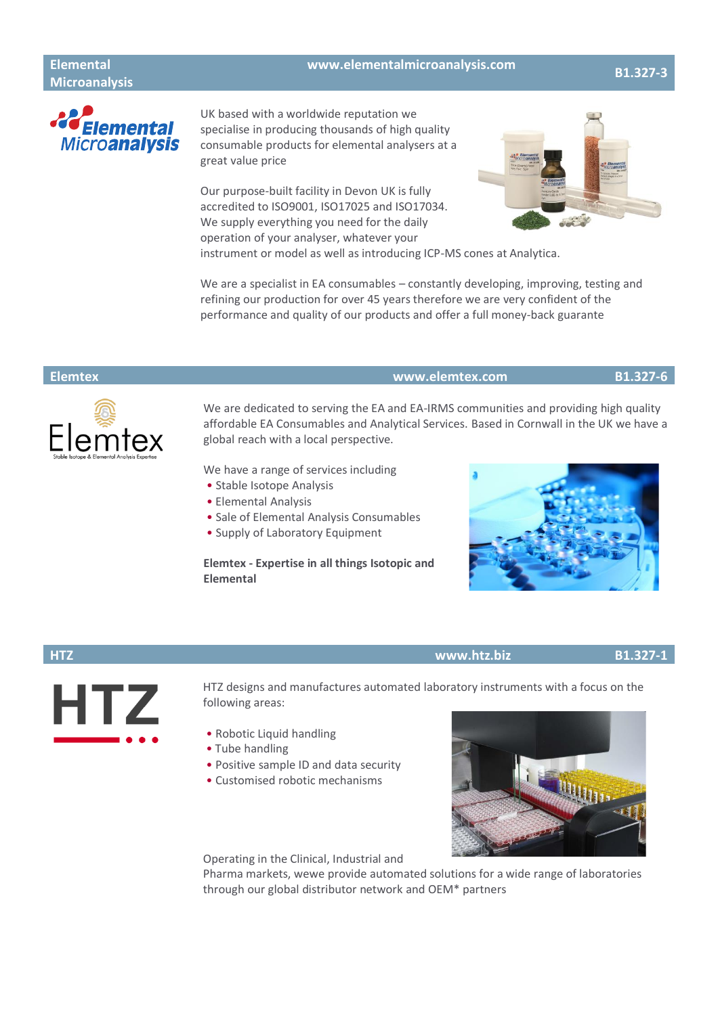## **Elemental Microanalysis**

## **[www.elementalmicroanalysis.com](https://www.elementalmicroanalysis.com/) B1.327-3**



UK based with a worldwide reputation we specialise in producing thousands of high quality consumable products for elemental analysers at a great value price

Our purpose-built facility in Devon UK is fully accredited to ISO9001, ISO17025 and ISO17034. We supply everything you need for the daily operation of your analyser, whatever your



instrument or model as well as introducing ICP-MS cones at Analytica.

We are a specialist in EA consumables – constantly developing, improving, testing and refining our production for over 45 years therefore we are very confident of the performance and quality of our products and offer a full money-back guarante



### **Elemtex [www.elemtex.com](https://www.elemtex.com/) B1.327-6**

We are dedicated to serving the EA and EA-IRMS communities and providing high quality affordable EA Consumables and Analytical Services. Based in Cornwall in the UK we have a global reach with a local perspective.

We have a range of services including

- Stable Isotope Analysis
- Elemental Analysis
- Sale of Elemental Analysis Consumables
- Supply of Laboratory Equipment

## **Elemtex - Expertise in all things Isotopic and Elemental**



## **HTZ [www.htz.biz](https://www.htz.biz/) B1.327-1**



HTZ designs and manufactures automated laboratory instruments with a focus on the following areas:

- Robotic Liquid handling
- Tube handling
- Positive sample ID and data security
- Customised robotic mechanisms



Operating in the Clinical, Industrial and

Pharma markets, wewe provide automated solutions for a wide range of laboratories through our [global distributor network](https://www.htz.biz/distributors_main.htm) and [OEM\\*](https://www.htz.biz/oem_main.htm) partners